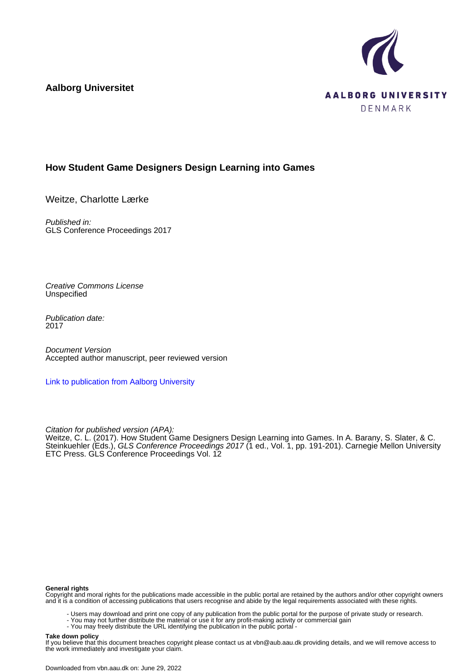**Aalborg Universitet**



# **How Student Game Designers Design Learning into Games**

Weitze, Charlotte Lærke

Published in: GLS Conference Proceedings 2017

Creative Commons License **Unspecified** 

Publication date: 2017

Document Version Accepted author manuscript, peer reviewed version

[Link to publication from Aalborg University](https://vbn.aau.dk/en/publications/ebd26a3e-59ee-4ce7-90b6-67f8cb02c490)

Citation for published version (APA):

Weitze, C. L. (2017). How Student Game Designers Design Learning into Games. In A. Barany, S. Slater, & C. Steinkuehler (Eds.), *GLS Conference Proceedings 2017* (1 ed., Vol. 1, pp. 191-201). Carnegie Mellon University ETC Press. GLS Conference Proceedings Vol. 12

#### **General rights**

Copyright and moral rights for the publications made accessible in the public portal are retained by the authors and/or other copyright owners and it is a condition of accessing publications that users recognise and abide by the legal requirements associated with these rights.

- Users may download and print one copy of any publication from the public portal for the purpose of private study or research.
- You may not further distribute the material or use it for any profit-making activity or commercial gain
- You may freely distribute the URL identifying the publication in the public portal -

#### **Take down policy**

If you believe that this document breaches copyright please contact us at vbn@aub.aau.dk providing details, and we will remove access to the work immediately and investigate your claim.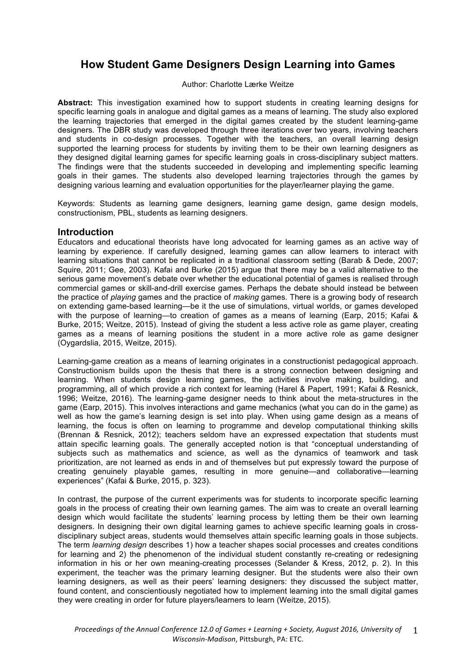# **How Student Game Designers Design Learning into Games**

Author: Charlotte Lærke Weitze

**Abstract:** This investigation examined how to support students in creating learning designs for specific learning goals in analogue and digital games as a means of learning. The study also explored the learning trajectories that emerged in the digital games created by the student learning-game designers. The DBR study was developed through three iterations over two years, involving teachers and students in co-design processes. Together with the teachers, an overall learning design supported the learning process for students by inviting them to be their own learning designers as they designed digital learning games for specific learning goals in cross-disciplinary subject matters. The findings were that the students succeeded in developing and implementing specific learning goals in their games. The students also developed learning trajectories through the games by designing various learning and evaluation opportunities for the player/learner playing the game.

Keywords: Students as learning game designers, learning game design, game design models, constructionism, PBL, students as learning designers.

# **Introduction**

Educators and educational theorists have long advocated for learning games as an active way of learning by experience. If carefully designed, learning games can allow learners to interact with learning situations that cannot be replicated in a traditional classroom setting (Barab & Dede, 2007; Squire, 2011; Gee, 2003). Kafai and Burke (2015) argue that there may be a valid alternative to the serious game movement's debate over whether the educational potential of games is realised through commercial games or skill-and-drill exercise games. Perhaps the debate should instead be between the practice of *playing* games and the practice of *making* games. There is a growing body of research on extending game-based learning—be it the use of simulations, virtual worlds, or games developed with the purpose of learning—to creation of games as a means of learning (Earp, 2015; Kafai & Burke, 2015; Weitze, 2015). Instead of giving the student a less active role as game player, creating games as a means of learning positions the student in a more active role as game designer (Oygardslia, 2015, Weitze, 2015).

Learning-game creation as a means of learning originates in a constructionist pedagogical approach. Constructionism builds upon the thesis that there is a strong connection between designing and learning. When students design learning games, the activities involve making, building, and programming, all of which provide a rich context for learning (Harel & Papert, 1991; Kafai & Resnick, 1996; Weitze, 2016). The learning-game designer needs to think about the meta-structures in the game (Earp, 2015). This involves interactions and game mechanics (what you can do in the game) as well as how the game's learning design is set into play. When using game design as a means of learning, the focus is often on learning to programme and develop computational thinking skills (Brennan & Resnick, 2012); teachers seldom have an expressed expectation that students must attain specific learning goals. The generally accepted notion is that "conceptual understanding of subjects such as mathematics and science, as well as the dynamics of teamwork and task prioritization, are not learned as ends in and of themselves but put expressly toward the purpose of creating genuinely playable games, resulting in more genuine—and collaborative—learning experiences" (Kafai & Burke, 2015, p. 323).

In contrast, the purpose of the current experiments was for students to incorporate specific learning goals in the process of creating their own learning games. The aim was to create an overall learning design which would facilitate the students' learning process by letting them be their own learning designers. In designing their own digital learning games to achieve specific learning goals in crossdisciplinary subject areas, students would themselves attain specific learning goals in those subjects. The term *learning design* describes 1) how a teacher shapes social processes and creates conditions for learning and 2) the phenomenon of the individual student constantly re-creating or redesigning information in his or her own meaning-creating processes (Selander & Kress, 2012, p. 2). In this experiment, the teacher was the primary learning designer. But the students were also their own learning designers, as well as their peers' learning designers: they discussed the subject matter, found content, and conscientiously negotiated how to implement learning into the small digital games they were creating in order for future players/learners to learn (Weitze, 2015).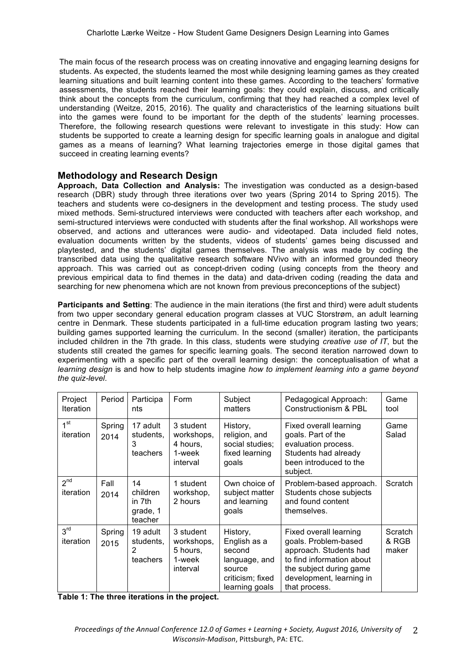The main focus of the research process was on creating innovative and engaging learning designs for students. As expected, the students learned the most while designing learning games as they created learning situations and built learning content into these games. According to the teachers' formative assessments, the students reached their learning goals: they could explain, discuss, and critically think about the concepts from the curriculum, confirming that they had reached a complex level of understanding (Weitze, 2015, 2016). The quality and characteristics of the learning situations built into the games were found to be important for the depth of the students' learning processes. Therefore, the following research questions were relevant to investigate in this study: How can students be supported to create a learning design for specific learning goals in analogue and digital games as a means of learning? What learning trajectories emerge in those digital games that succeed in creating learning events?

# **Methodology and Research Design**

**Approach, Data Collection and Analysis:** The investigation was conducted as a design-based research (DBR) study through three iterations over two years (Spring 2014 to Spring 2015). The teachers and students were co-designers in the development and testing process. The study used mixed methods. Semi-structured interviews were conducted with teachers after each workshop, and semi-structured interviews were conducted with students after the final workshop. All workshops were observed, and actions and utterances were audio- and videotaped. Data included field notes, evaluation documents written by the students, videos of students' games being discussed and playtested, and the students' digital games themselves. The analysis was made by coding the transcribed data using the qualitative research software NVivo with an informed grounded theory approach. This was carried out as concept-driven coding (using concepts from the theory and previous empirical data to find themes in the data) and data-driven coding (reading the data and searching for new phenomena which are not known from previous preconceptions of the subject)

**Participants and Setting**: The audience in the main iterations (the first and third) were adult students from two upper secondary general education program classes at VUC Storstrøm, an adult learning centre in Denmark. These students participated in a full-time education program lasting two years; building games supported learning the curriculum. In the second (smaller) iteration, the participants included children in the 7th grade. In this class, students were studying *creative use of IT*, but the students still created the games for specific learning goals. The second iteration narrowed down to experimenting with a specific part of the overall learning design: the conceptualisation of what a *learning design* is and how to help students imagine *how to implement learning into a game beyond the quiz-level*.

| Project<br><b>Iteration</b>  | Period         | Participa<br>nts                                | Form                                                      | Subject<br>matters                                                                                  | Pedagogical Approach:<br>Constructionism & PBL                                                                                                                                | Game<br>tool              |
|------------------------------|----------------|-------------------------------------------------|-----------------------------------------------------------|-----------------------------------------------------------------------------------------------------|-------------------------------------------------------------------------------------------------------------------------------------------------------------------------------|---------------------------|
| 1 <sup>st</sup><br>iteration | Spring<br>2014 | 17 adult<br>students,<br>3<br>teachers          | 3 student<br>workshops,<br>4 hours,<br>1-week<br>interval | History,<br>religion, and<br>social studies;<br>fixed learning<br>goals                             | Fixed overall learning<br>goals. Part of the<br>evaluation process.<br>Students had already<br>been introduced to the<br>subject.                                             | Game<br>Salad             |
| 2 <sup>nd</sup><br>iteration | Fall<br>2014   | 14<br>children<br>in 7th<br>grade, 1<br>teacher | 1 student<br>workshop,<br>2 hours                         | Own choice of<br>subject matter<br>and learning<br>goals                                            | Problem-based approach.<br>Students chose subjects<br>and found content<br>themselves.                                                                                        | Scratch                   |
| 3 <sup>rd</sup><br>iteration | Spring<br>2015 | 19 adult<br>students,<br>2<br>teachers          | 3 student<br>workshops.<br>5 hours,<br>1-week<br>interval | History,<br>English as a<br>second<br>language, and<br>source<br>criticism; fixed<br>learning goals | Fixed overall learning<br>goals. Problem-based<br>approach. Students had<br>to find information about<br>the subject during game<br>development, learning in<br>that process. | Scratch<br>& RGB<br>maker |

**Table 1: The three iterations in the project.**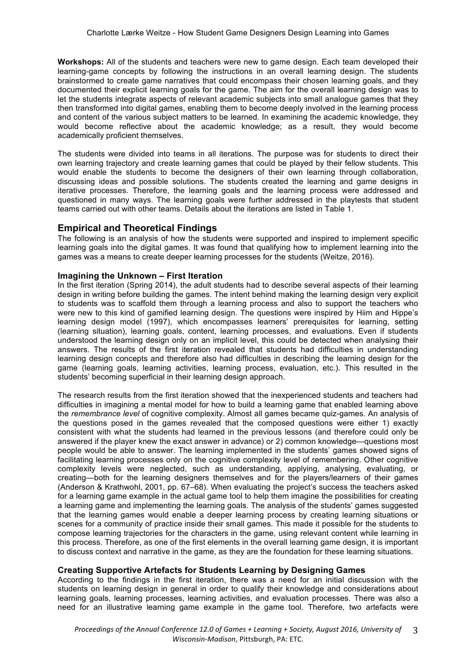**Workshops:** All of the students and teachers were new to game design. Each team developed their learning-game concepts by following the instructions in an overall learning design. The students brainstormed to create game narratives that could encompass their chosen learning goals, and they documented their explicit learning goals for the game. The aim for the overall learning design was to let the students integrate aspects of relevant academic subjects into small analogue games that they then transformed into digital games, enabling them to become deeply involved in the learning process and content of the various subject matters to be learned. In examining the academic knowledge, they would become reflective about the academic knowledge; as a result, they would become academically proficient themselves.

The students were divided into teams in all iterations. The purpose was for students to direct their own learning trajectory and create learning games that could be played by their fellow students. This would enable the students to become the designers of their own learning through collaboration, discussing ideas and possible solutions. The students created the learning and game designs in iterative processes. Therefore, the learning goals and the learning process were addressed and questioned in many ways. The learning goals were further addressed in the playtests that student teams carried out with other teams. Details about the iterations are listed in Table 1.

### **Empirical and Theoretical Findings**

The following is an analysis of how the students were supported and inspired to implement specific learning goals into the digital games. It was found that qualifying how to implement learning into the games was a means to create deeper learning processes for the students (Weitze, 2016).

#### **Imagining the Unknown – First Iteration**

In the first iteration (Spring 2014), the adult students had to describe several aspects of their learning design in writing before building the games. The intent behind making the learning design very explicit to students was to scaffold them through a learning process and also to support the teachers who were new to this kind of gamified learning design. The questions were inspired by Hiim and Hippe's learning design model (1997), which encompasses learners' prerequisites for learning, setting (learning situation), learning goals, content, learning processes, and evaluations. Even if students understood the learning design only on an implicit level, this could be detected when analysing their answers. The results of the first iteration revealed that students had difficulties in understanding learning design concepts and therefore also had difficulties in describing the learning design for the game (learning goals, learning activities, learning process, evaluation, etc.). This resulted in the students' becoming superficial in their learning design approach.

The research results from the first iteration showed that the inexperienced students and teachers had difficulties in imagining a mental model for how to build a learning game that enabled learning above the *remembrance level* of cognitive complexity. Almost all games became quiz-games. An analysis of the questions posed in the games revealed that the composed questions were either 1) exactly consistent with what the students had learned in the previous lessons (and therefore could only be answered if the player knew the exact answer in advance) or 2) common knowledge—questions most people would be able to answer. The learning implemented in the students' games showed signs of facilitating learning processes only on the cognitive complexity level of remembering. Other cognitive complexity levels were neglected, such as understanding, applying, analysing, evaluating, or creating—both for the learning designers themselves and for the players/learners of their games (Anderson & Krathwohl, 2001, pp. 67–68). When evaluating the project's success the teachers asked for a learning game example in the actual game tool to help them imagine the possibilities for creating a learning game and implementing the learning goals. The analysis of the students' games suggested that the learning games would enable a deeper learning process by creating learning situations or scenes for a community of practice inside their small games. This made it possible for the students to compose learning trajectories for the characters in the game, using relevant content while learning in this process. Therefore, as one of the first elements in the overall learning game design, it is important to discuss context and narrative in the game, as they are the foundation for these learning situations.

### **Creating Supportive Artefacts for Students Learning by Designing Games**

According to the findings in the first iteration, there was a need for an initial discussion with the students on learning design in general in order to qualify their knowledge and considerations about learning goals, learning processes, learning activities, and evaluation processes. There was also a need for an illustrative learning game example in the game tool. Therefore, two artefacts were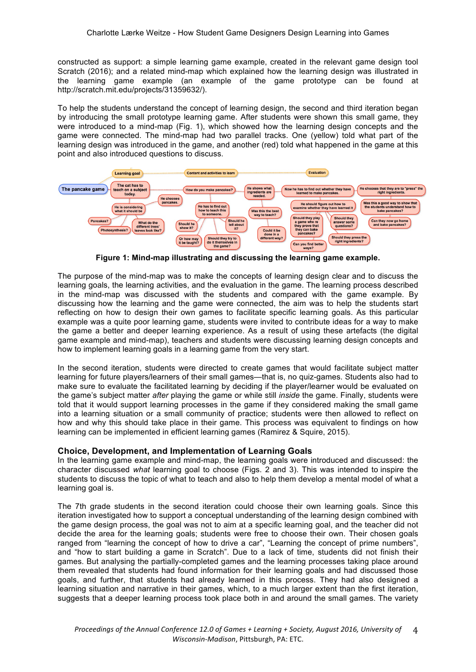constructed as support: a simple learning game example, created in the relevant game design tool Scratch (2016); and a related mind-map which explained how the learning design was illustrated in the learning game example (an example of the game prototype can be found at http://scratch.mit.edu/projects/31359632/).

To help the students understand the concept of learning design, the second and third iteration began by introducing the small prototype learning game. After students were shown this small game, they were introduced to a mind-map (Fig. 1), which showed how the learning design concepts and the game were connected. The mind-map had two parallel tracks. One (yellow) told what part of the learning design was introduced in the game, and another (red) told what happened in the game at this point and also introduced questions to discuss.



**Figure 1: Mind-map illustrating and discussing the learning game example.**

The purpose of the mind-map was to make the concepts of learning design clear and to discuss the learning goals, the learning activities, and the evaluation in the game. The learning process described in the mind-map was discussed with the students and compared with the game example. By discussing how the learning and the game were connected, the aim was to help the students start reflecting on how to design their own games to facilitate specific learning goals. As this particular example was a quite poor learning game, students were invited to contribute ideas for a way to make the game a better and deeper learning experience. As a result of using these artefacts (the digital game example and mind-map), teachers and students were discussing learning design concepts and how to implement learning goals in a learning game from the very start.

In the second iteration, students were directed to create games that would facilitate subject matter learning for future players/learners of their small games—that is, no quiz-games. Students also had to make sure to evaluate the facilitated learning by deciding if the player/learner would be evaluated on the game's subject matter *after* playing the game or while still *inside* the game. Finally, students were told that it would support learning processes in the game if they considered making the small game into a learning situation or a small community of practice; students were then allowed to reflect on how and why this should take place in their game. This process was equivalent to findings on how learning can be implemented in efficient learning games (Ramirez & Squire, 2015).

### **Choice, Development, and Implementation of Learning Goals**

In the learning game example and mind-map, the learning goals were introduced and discussed: the character discussed *what* learning goal to choose (Figs. 2 and 3). This was intended to inspire the students to discuss the topic of what to teach and also to help them develop a mental model of what a learning goal is.

The 7th grade students in the second iteration could choose their own learning goals. Since this iteration investigated how to support a conceptual understanding of the learning design combined with the game design process, the goal was not to aim at a specific learning goal, and the teacher did not decide the area for the learning goals; students were free to choose their own. Their chosen goals ranged from "learning the concept of how to drive a car", "Learning the concept of prime numbers", and "how to start building a game in Scratch". Due to a lack of time, students did not finish their games. But analysing the partially-completed games and the learning processes taking place around them revealed that students had found information for their learning goals and had discussed those goals, and further, that students had already learned in this process. They had also designed a learning situation and narrative in their games, which, to a much larger extent than the first iteration, suggests that a deeper learning process took place both in and around the small games. The variety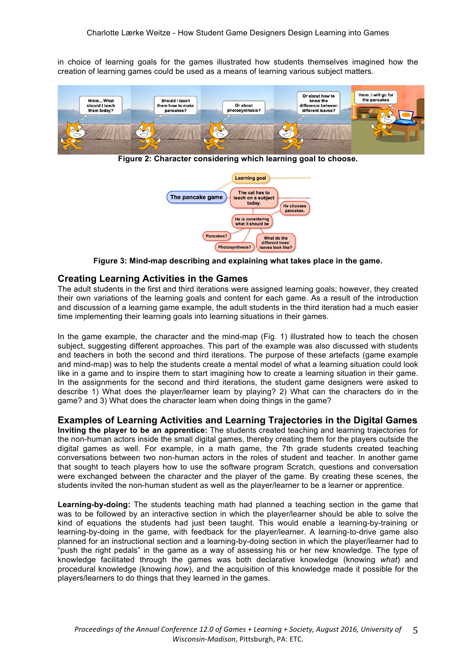in choice of learning goals for the games illustrated how students themselves imagined how the creation of learning games could be used as a means of learning various subject matters.



**Figure 2: Character considering which learning goal to choose.**



**Figure 3: Mind-map describing and explaining what takes place in the game.**

### **Creating Learning Activities in the Games**

The adult students in the first and third iterations were assigned learning goals; however, they created their own variations of the learning goals and content for each game. As a result of the introduction and discussion of a learning game example, the adult students in the third iteration had a much easier time implementing their learning goals into learning situations in their games.

In the game example, the character and the mind-map (Fig. 1) illustrated how to teach the chosen subject, suggesting different approaches. This part of the example was also discussed with students and teachers in both the second and third iterations. The purpose of these artefacts (game example and mind-map) was to help the students create a mental model of what a learning situation could look like in a game and to inspire them to start imagining how to create a learning situation in their game. In the assignments for the second and third iterations, the student game designers were asked to describe 1) What does the player/learner learn by playing? 2) What can the characters do in the game? and 3) What does the character learn when doing things in the game?

**Examples of Learning Activities and Learning Trajectories in the Digital Games Inviting the player to be an apprentice:** The students created teaching and learning trajectories for the non-human actors inside the small digital games, thereby creating them for the players outside the digital games as well. For example, in a math game, the 7th grade students created teaching conversations between two non-human actors in the roles of student and teacher. In another game that sought to teach players how to use the software program Scratch, questions and conversation were exchanged between the character and the player of the game. By creating these scenes, the students invited the non-human student as well as the player/learner to be a learner or apprentice.

**Learning-by-doing:** The students teaching math had planned a teaching section in the game that was to be followed by an interactive section in which the player/learner should be able to solve the kind of equations the students had just been taught. This would enable a learning-by-training or learning-by-doing in the game, with feedback for the player/learner. A learning-to-drive game also planned for an instructional section and a learning-by-doing section in which the player/learner had to "push the right pedals" in the game as a way of assessing his or her new knowledge. The type of knowledge facilitated through the games was both declarative knowledge (knowing *what*) and procedural knowledge (knowing *how*), and the acquisition of this knowledge made it possible for the players/learners to do things that they learned in the games.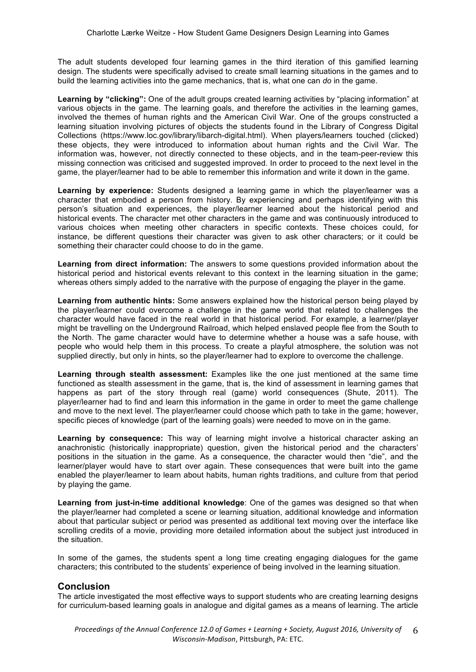The adult students developed four learning games in the third iteration of this gamified learning design. The students were specifically advised to create small learning situations in the games and to build the learning activities into the game mechanics, that is, what one can *do* in the game.

**Learning by "clicking":** One of the adult groups created learning activities by "placing information" at various objects in the game. The learning goals, and therefore the activities in the learning games, involved the themes of human rights and the American Civil War. One of the groups constructed a learning situation involving pictures of objects the students found in the Library of Congress Digital Collections (https://www.loc.gov/library/libarch-digital.html). When players/learners touched (clicked) these objects, they were introduced to information about human rights and the Civil War. The information was, however, not directly connected to these objects, and in the team-peer-review this missing connection was criticised and suggested improved. In order to proceed to the next level in the game, the player/learner had to be able to remember this information and write it down in the game.

**Learning by experience:** Students designed a learning game in which the player/learner was a character that embodied a person from history. By experiencing and perhaps identifying with this person's situation and experiences, the player/learner learned about the historical period and historical events. The character met other characters in the game and was continuously introduced to various choices when meeting other characters in specific contexts. These choices could, for instance, be different questions their character was given to ask other characters; or it could be something their character could choose to do in the game.

**Learning from direct information:** The answers to some questions provided information about the historical period and historical events relevant to this context in the learning situation in the game; whereas others simply added to the narrative with the purpose of engaging the player in the game.

**Learning from authentic hints:** Some answers explained how the historical person being played by the player/learner could overcome a challenge in the game world that related to challenges the character would have faced in the real world in that historical period. For example, a learner/player might be travelling on the Underground Railroad, which helped enslaved people flee from the South to the North. The game character would have to determine whether a house was a safe house, with people who would help them in this process. To create a playful atmosphere, the solution was not supplied directly, but only in hints, so the player/learner had to explore to overcome the challenge.

**Learning through stealth assessment:** Examples like the one just mentioned at the same time functioned as stealth assessment in the game, that is, the kind of assessment in learning games that happens as part of the story through real (game) world consequences (Shute, 2011). The player/learner had to find and learn this information in the game in order to meet the game challenge and move to the next level. The player/learner could choose which path to take in the game; however, specific pieces of knowledge (part of the learning goals) were needed to move on in the game.

**Learning by consequence:** This way of learning might involve a historical character asking an anachronistic (historically inappropriate) question, given the historical period and the characters' positions in the situation in the game. As a consequence, the character would then "die", and the learner/player would have to start over again. These consequences that were built into the game enabled the player/learner to learn about habits, human rights traditions, and culture from that period by playing the game.

**Learning from just-in-time additional knowledge**: One of the games was designed so that when the player/learner had completed a scene or learning situation, additional knowledge and information about that particular subject or period was presented as additional text moving over the interface like scrolling credits of a movie, providing more detailed information about the subject just introduced in the situation.

In some of the games, the students spent a long time creating engaging dialogues for the game characters; this contributed to the students' experience of being involved in the learning situation.

# **Conclusion**

The article investigated the most effective ways to support students who are creating learning designs for curriculum-based learning goals in analogue and digital games as a means of learning. The article